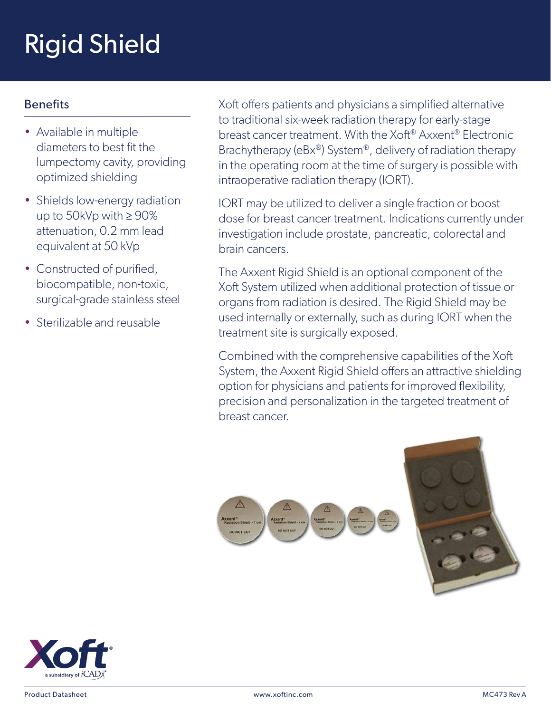## Rigid Shield

## Benefits

- Available in multiple diameters to best fit the lumpectomy cavity, providing optimized shielding
- Shields low-energy radiation up to 50kVp with  $\geq 90\%$ attenuation, 0.2 mm lead equivalent at 50 kVp
- Constructed of purified, biocompatible, non-toxic, surgical-grade stainless steel
- Sterilizable and reusable

Xoft offers patients and physicians a simplified alternative to traditional six-week radiation therapy for early-stage breast cancer treatment. With the Xoft<sup>®</sup> Axxent<sup>®</sup> Flectronic. Brachytherapy (eBx®) System®, delivery of radiation therapy in the operating room at the time of surgery is possible with intraoperative radiation therapy (IORT).

IORT may be utilized to deliver a single fraction or boost dose for breast cancer treatment. Indications currently under investigation include prostate, pancreatic, colorectal and brain cancers.

The Axxent Rigid Shield is an optional component of the Xoft System utilized when additional protection of tissue or organs from radiation is desired. The Rigid Shield may be used internally or externally, such as during IORT when the treatment site is surgically exposed.

Combined with the comprehensive capabilities of the Xoft System, the Axxent Rigid Shield offers an attractive shielding option for physicians and patients for improved flexibility, precision and personalization in the targeted treatment of breast cancer.